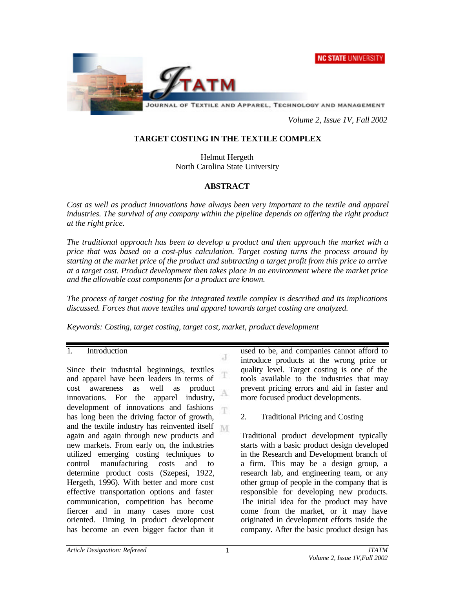**NC STATE UNIVERSITY** 



*Volume 2, Issue 1V, Fall 2002*

# **TARGET COSTING IN THE TEXTILE COMPLEX**

Helmut Hergeth North Carolina State University

# **ABSTRACT**

*Cost as well as product innovations have always been very important to the textile and apparel industries. The survival of any company within the pipeline depends on offering the right product at the right price.*

*The traditional approach has been to develop a product and then approach the market with a price that was based on a cost-plus calculation. Target costing turns the process around by starting at the market price of the product and subtracting a target profit from this price to arrive at a target cost. Product development then takes place in an environment where the market price and the allowable cost components for a product are known.*

*The process of target costing for the integrated textile complex is described and its implications discussed. Forces that move textiles and apparel towards target costing are analyzed.*

Л

*Keywords: Costing, target costing, target cost, market, product development*

### 1. Introduction

Since their industrial beginnings, textiles T and apparel have been leaders in terms of cost awareness as well as product A innovations. For the apparel industry, development of innovations and fashions T has long been the driving factor of growth, and the textile industry has reinvented itself again and again through new products and new markets. From early on, the industries utilized emerging costing techniques to control manufacturing costs and to determine product costs (Szepesi, 1922, Hergeth, 1996). With better and more cost effective transportation options and faster communication, competition has become fiercer and in many cases more cost oriented. Timing in product development has become an even bigger factor than it

used to be, and companies cannot afford to introduce products at the wrong price or quality level. Target costing is one of the tools available to the industries that may prevent pricing errors and aid in faster and more focused product developments.

2. Traditional Pricing and Costing

Traditional product development typically starts with a basic product design developed in the Research and Development branch of a firm. This may be a design group, a research lab, and engineering team, or any other group of people in the company that is responsible for developing new products. The initial idea for the product may have come from the market, or it may have originated in development efforts inside the company. After the basic product design has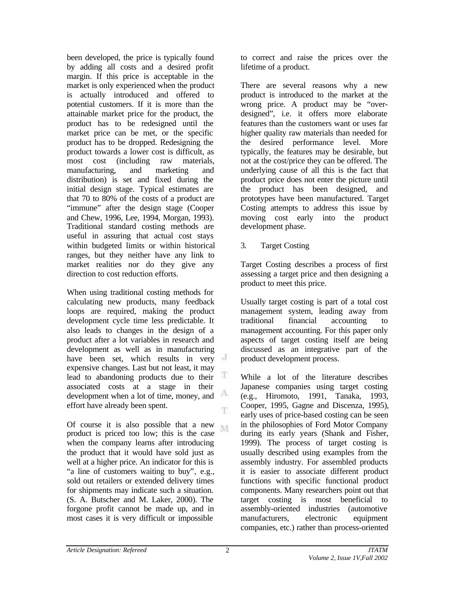been developed, the price is typically found by adding all costs and a desired profit margin. If this price is acceptable in the market is only experienced when the product is actually introduced and offered to potential customers. If it is more than the attainable market price for the product, the product has to be redesigned until the market price can be met, or the specific product has to be dropped. Redesigning the product towards a lower cost is difficult, as most cost (including raw materials, manufacturing, and marketing and distribution) is set and fixed during the initial design stage. Typical estimates are that 70 to 80% of the costs of a product are "immune" after the design stage (Cooper and Chew, 1996, Lee, 1994, Morgan, 1993). Traditional standard costing methods are useful in assuring that actual cost stays within budgeted limits or within historical ranges, but they neither have any link to market realities nor do they give any direction to cost reduction efforts.

When using traditional costing methods for calculating new products, many feedback loops are required, making the product development cycle time less predictable. It also leads to changes in the design of a product after a lot variables in research and development as well as in manufacturing have been set, which results in very expensive changes. Last but not least, it may T lead to abandoning products due to their associated costs at a stage in their development when a lot of time, money, and A effort have already been spent. T.

Of course it is also possible that a new M. product is priced too low; this is the case when the company learns after introducing the product that it would have sold just as well at a higher price. An indicator for this is "a line of customers waiting to buy", e.g., sold out retailers or extended delivery times for shipments may indicate such a situation. (S. A. Butscher and M. Laker, 2000). The forgone profit cannot be made up, and in most cases it is very difficult or impossible

to correct and raise the prices over the lifetime of a product.

There are several reasons why a new product is introduced to the market at the wrong price. A product may be "overdesigned", i.e. it offers more elaborate features than the customers want or uses far higher quality raw materials than needed for the desired performance level. More typically, the features may be desirable, but not at the cost/price they can be offered. The underlying cause of all this is the fact that product price does not enter the picture until the product has been designed, and prototypes have been manufactured. Target Costing attempts to address this issue by moving cost early into the product development phase.

3. Target Costing

Target Costing describes a process of first assessing a target price and then designing a product to meet this price.

Usually target costing is part of a total cost management system, leading away from traditional financial accounting to management accounting. For this paper only aspects of target costing itself are being discussed as an integrative part of the product development process.

While a lot of the literature describes Japanese companies using target costing (e.g., Hiromoto, 1991, Tanaka, 1993, Cooper, 1995, Gagne and Discenza, 1995), early uses of price-based costing can be seen in the philosophies of Ford Motor Company during its early years (Shank and Fisher, 1999). The process of target costing is usually described using examples from the assembly industry. For assembled products it is easier to associate different product functions with specific functional product components. Many researchers point out that target costing is most beneficial to assembly-oriented industries (automotive manufacturers, electronic equipment companies, etc.) rather than process-oriented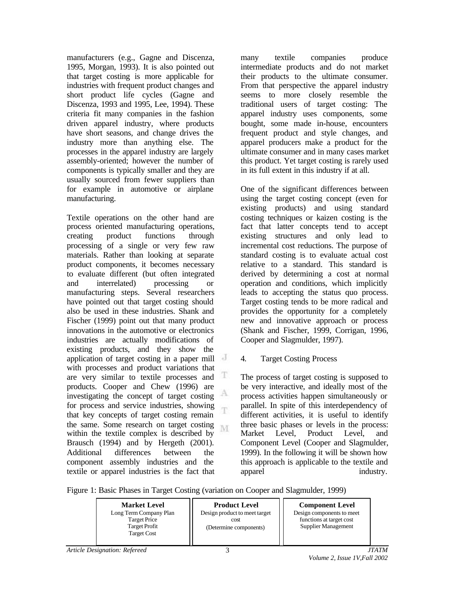manufacturers (e.g., Gagne and Discenza, 1995, Morgan, 1993). It is also pointed out that target costing is more applicable for industries with frequent product changes and short product life cycles (Gagne and Discenza, 1993 and 1995, Lee, 1994). These criteria fit many companies in the fashion driven apparel industry, where products have short seasons, and change drives the industry more than anything else. The processes in the apparel industry are largely assembly-oriented; however the number of components is typically smaller and they are usually sourced from fewer suppliers than for example in automotive or airplane manufacturing.

Textile operations on the other hand are process oriented manufacturing operations, creating product functions through processing of a single or very few raw materials. Rather than looking at separate product components, it becomes necessary to evaluate different (but often integrated and interrelated) processing or manufacturing steps. Several researchers have pointed out that target costing should also be used in these industries. Shank and Fischer (1999) point out that many product innovations in the automotive or electronics industries are actually modifications of existing products, and they show the application of target costing in a paper mill with processes and product variations that T are very similar to textile processes and products. Cooper and Chew (1996) are А investigating the concept of target costing for process and service industries, showing T that key concepts of target costing remain the same. Some research on target costing M. within the textile complex is described by Brausch (1994) and by Hergeth (2001). Additional differences between the component assembly industries and the textile or apparel industries is the fact that

many textile companies produce intermediate products and do not market their products to the ultimate consumer. From that perspective the apparel industry seems to more closely resemble the traditional users of target costing: The apparel industry uses components, some bought, some made in-house, encounters frequent product and style changes, and apparel producers make a product for the ultimate consumer and in many cases market this product. Yet target costing is rarely used in its full extent in this industry if at all.

One of the significant differences between using the target costing concept (even for existing products) and using standard costing techniques or kaizen costing is the fact that latter concepts tend to accept existing structures and only lead to incremental cost reductions. The purpose of standard costing is to evaluate actual cost relative to a standard. This standard is derived by determining a cost at normal operation and conditions, which implicitly leads to accepting the status quo process. Target costing tends to be more radical and provides the opportunity for a completely new and innovative approach or process (Shank and Fischer, 1999, Corrigan, 1996, Cooper and Slagmulder, 1997).

## 4. Target Costing Process

The process of target costing is supposed to be very interactive, and ideally most of the process activities happen simultaneously or parallel. In spite of this interdependency of different activities, it is useful to identify three basic phases or levels in the process: Market Level, Product Level, and Component Level (Cooper and Slagmulder, 1999). In the following it will be shown how this approach is applicable to the textile and apparel industry.

Figure 1: Basic Phases in Target Costing (variation on Cooper and Slagmulder, 1999)

| <b>Market Level</b>                        | <b>Product Level</b>          | <b>Component Level</b>    |
|--------------------------------------------|-------------------------------|---------------------------|
| Long Term Company Plan                     | Design product to meet target | Design components to meet |
| Target Price                               | cost.                         | functions at target cost  |
| <b>Target Profit</b><br><b>Target Cost</b> | (Determine components)        | Supplier Management       |
|                                            |                               |                           |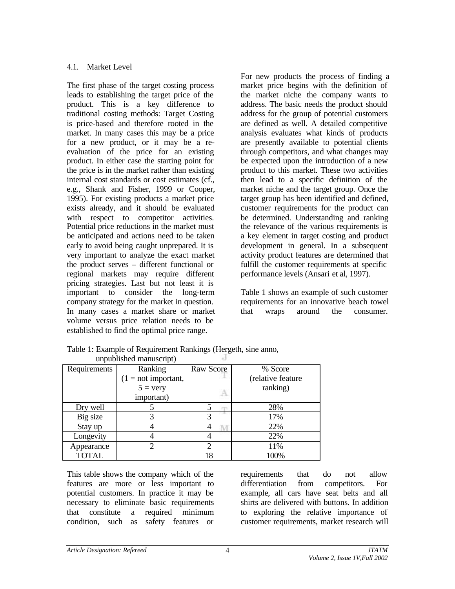# 4.1. Market Level

The first phase of the target costing process leads to establishing the target price of the product. This is a key difference to traditional costing methods: Target Costing is price-based and therefore rooted in the market. In many cases this may be a price for a new product, or it may be a reevaluation of the price for an existing product. In either case the starting point for the price is in the market rather than existing internal cost standards or cost estimates (cf., e.g., Shank and Fisher, 1999 or Cooper, 1995). For existing products a market price exists already, and it should be evaluated with respect to competitor activities. Potential price reductions in the market must be anticipated and actions need to be taken early to avoid being caught unprepared. It is very important to analyze the exact market the product serves – different functional or regional markets may require different pricing strategies. Last but not least it is important to consider the long-term company strategy for the market in question. In many cases a market share or market volume versus price relation needs to be established to find the optimal price range.

For new products the process of finding a market price begins with the definition of the market niche the company wants to address. The basic needs the product should address for the group of potential customers are defined as well. A detailed competitive analysis evaluates what kinds of products are presently available to potential clients through competitors, and what changes may be expected upon the introduction of a new product to this market. These two activities then lead to a specific definition of the market niche and the target group. Once the target group has been identified and defined, customer requirements for the product can be determined. Understanding and ranking the relevance of the various requirements is a key element in target costing and product development in general. In a subsequent activity product features are determined that fulfill the customer requirements at specific performance levels (Ansari et al, 1997).

Table 1 shows an example of such customer requirements for an innovative beach towel that wraps around the consumer.

|              | unpuonsneu manusempe  |           |                   |
|--------------|-----------------------|-----------|-------------------|
| Requirements | Ranking               | Raw Score | % Score           |
|              | $(1 = not important,$ |           | (relative feature |
|              | $5 = \text{very}$     |           | ranking)          |
|              | important)            |           |                   |
| Dry well     |                       | m         | 28%               |
| Big size     |                       |           | 17%               |
| Stay up      |                       |           | 22%               |
| Longevity    |                       |           | 22%               |
| Appearance   |                       |           | 11%               |
| <b>TOTAL</b> |                       | 18        | 100%              |

Table 1: Example of Requirement Rankings (Hergeth, sine anno, unpublished manuscript)

This table shows the company which of the features are more or less important to potential customers. In practice it may be necessary to eliminate basic requirements that constitute a required minimum condition, such as safety features or

requirements that do not allow differentiation from competitors. For example, all cars have seat belts and all shirts are delivered with buttons. In addition to exploring the relative importance of customer requirements, market research will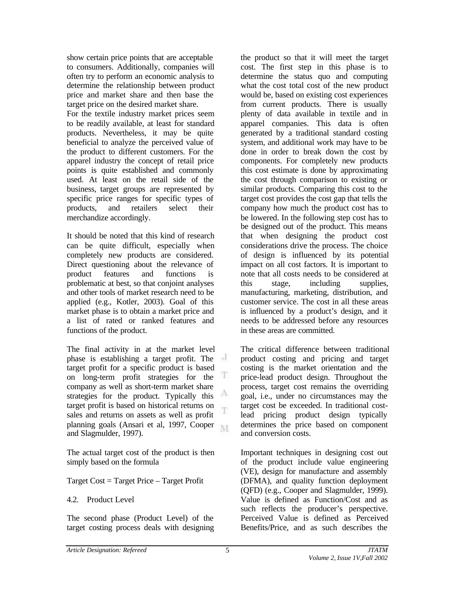show certain price points that are acceptable to consumers. Additionally, companies will often try to perform an economic analysis to determine the relationship between product price and market share and then base the target price on the desired market share.

For the textile industry market prices seem to be readily available, at least for standard products. Nevertheless, it may be quite beneficial to analyze the perceived value of the product to different customers. For the apparel industry the concept of retail price points is quite established and commonly used. At least on the retail side of the business, target groups are represented by specific price ranges for specific types of products, and retailers select their merchandize accordingly.

It should be noted that this kind of research can be quite difficult, especially when completely new products are considered. Direct questioning about the relevance of product features and functions is problematic at best, so that conjoint analyses and other tools of market research need to be applied (e.g., Kotler, 2003). Goal of this market phase is to obtain a market price and a list of rated or ranked features and functions of the product.

The final activity in at the market level phase is establishing a target profit. The target profit for a specific product is based Ŧ on long-term profit strategies for the company as well as short-term market share А strategies for the product. Typically this target profit is based on historical returns on T. sales and returns on assets as well as profit planning goals (Ansari et al, 1997, Cooper M and Slagmulder, 1997).

The actual target cost of the product is then simply based on the formula

Target Cost = Target Price – Target Profit

# 4.2. Product Level

The second phase (Product Level) of the target costing process deals with designing the product so that it will meet the target cost. The first step in this phase is to determine the status quo and computing what the cost total cost of the new product would be, based on existing cost experiences from current products. There is usually plenty of data available in textile and in apparel companies. This data is often generated by a traditional standard costing system, and additional work may have to be done in order to break down the cost by components. For completely new products this cost estimate is done by approximating the cost through comparison to existing or similar products. Comparing this cost to the target cost provides the cost gap that tells the company how much the product cost has to be lowered. In the following step cost has to be designed out of the product. This means that when designing the product cost considerations drive the process. The choice of design is influenced by its potential impact on all cost factors. It is important to note that all costs needs to be considered at this stage, including supplies, manufacturing, marketing, distribution, and customer service. The cost in all these areas is influenced by a product's design, and it needs to be addressed before any resources in these areas are committed.

The critical difference between traditional product costing and pricing and target costing is the market orientation and the price-lead product design. Throughout the process, target cost remains the overriding goal, i.e., under no circumstances may the target cost be exceeded. In traditional costlead pricing product design typically determines the price based on component and conversion costs.

Important techniques in designing cost out of the product include value engineering (VE), design for manufacture and assembly (DFMA), and quality function deployment (QFD) (e.g., Cooper and Slagmulder, 1999). Value is defined as Function/Cost and as such reflects the producer's perspective. Perceived Value is defined as Perceived Benefits/Price, and as such describes the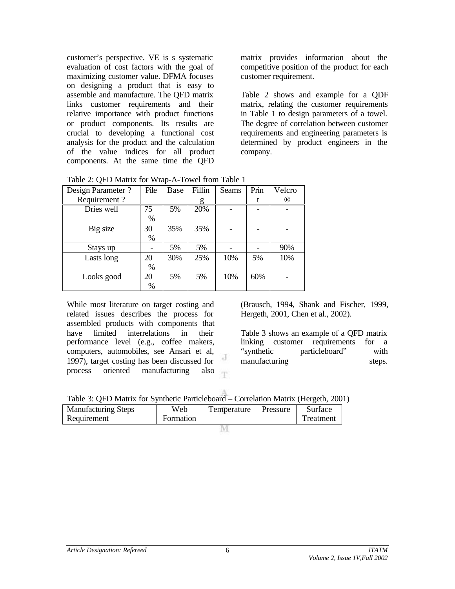customer's perspective. VE is s systematic evaluation of cost factors with the goal of maximizing customer value. DFMA focuses on designing a product that is easy to assemble and manufacture. The QFD matrix links customer requirements and their relative importance with product functions or product components. Its results are crucial to developing a functional cost analysis for the product and the calculation of the value indices for all product components. At the same time the QFD matrix provides information about the competitive position of the product for each customer requirement.

Table 2 shows and example for a QDF matrix, relating the customer requirements in Table 1 to design parameters of a towel. The degree of correlation between customer requirements and engineering parameters is determined by product engineers in the company.

|  | Table 2: QFD Matrix for Wrap-A-Towel from Table 1 |
|--|---------------------------------------------------|
|--|---------------------------------------------------|

| Design Parameter ? | Pile | Base | Fillin | <b>Seams</b> | Prin | Velcro |
|--------------------|------|------|--------|--------------|------|--------|
| Requirement?       |      |      | g      |              |      | ®      |
| Dries well         | 75   | 5%   | 20%    |              |      |        |
|                    | %    |      |        |              |      |        |
| Big size           | 30   | 35%  | 35%    |              |      |        |
|                    | %    |      |        |              |      |        |
| Stays up           |      | 5%   | 5%     |              |      | 90%    |
| Lasts long         | 20   | 30%  | 25%    | 10%          | 5%   | 10%    |
|                    | %    |      |        |              |      |        |
| Looks good         | 20   | 5%   | 5%     | 10%          | 60%  |        |
|                    | %    |      |        |              |      |        |

While most literature on target costing and related issues describes the process for assembled products with components that have limited interrelations in their performance level (e.g., coffee makers, computers, automobiles, see Ansari et al, d. 1997), target costing has been discussed for process oriented manufacturing also T (Brausch, 1994, Shank and Fischer, 1999, Hergeth, 2001, Chen et al., 2002).

Table 3 shows an example of a QFD matrix linking customer requirements for a "synthetic particleboard" with manufacturing steps.

| Table 3: QFD Matrix for Synthetic Particleboard – Correlation Matrix (Hergeth, 2001) |  |  |
|--------------------------------------------------------------------------------------|--|--|
|                                                                                      |  |  |

| <b>Manufacturing Steps</b><br>Requirement | Web<br>Formation | Temperature | Pressure | Surface<br>Treatment |  |
|-------------------------------------------|------------------|-------------|----------|----------------------|--|
|                                           |                  |             |          |                      |  |

M.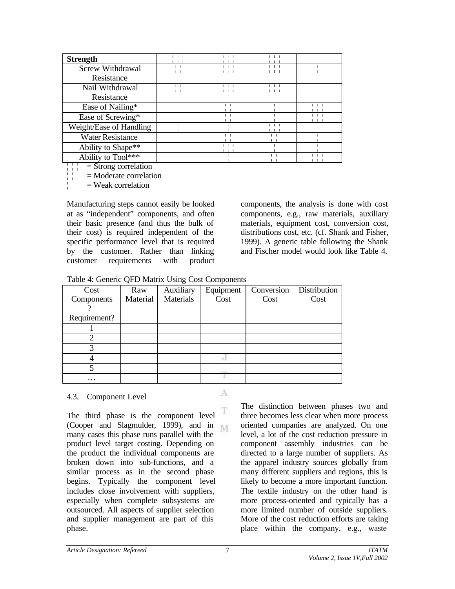| <b>Strength</b>         |  |  |
|-------------------------|--|--|
| Screw Withdrawal        |  |  |
| Resistance              |  |  |
| Nail Withdrawal         |  |  |
| Resistance              |  |  |
| Ease of Nailing*        |  |  |
| Ease of Screwing*       |  |  |
| Weight/Ease of Handling |  |  |
| <b>Water Resistance</b> |  |  |
| Ability to Shape**      |  |  |
| Ability to Tool***      |  |  |

 $|\cdot| =$  Strong correlation

¦¦ = Moderate correlation

 $\angle$  = Weak correlation

Manufacturing steps cannot easily be looked at as "independent" components, and often their basic presence (and thus the bulk of their cost) is required independent of the specific performance level that is required by the customer. Rather than linking customer requirements with product

components, the analysis is done with cost components, e.g., raw materials, auxiliary materials, equipment cost, conversion cost, distributions cost, etc. (cf. Shank and Fisher, 1999). A generic table following the Shank and Fischer model would look like Table 4.

Table 4: Generic QFD Matrix Using Cost Components

| Cost         | Raw      | Auxiliary | Equipment | Conversion | Distribution |
|--------------|----------|-----------|-----------|------------|--------------|
| Components   | Material | Materials | Cost      | Cost       | Cost         |
|              |          |           |           |            |              |
| Requirement? |          |           |           |            |              |
|              |          |           |           |            |              |
|              |          |           |           |            |              |
| 3            |          |           |           |            |              |
|              |          |           |           |            |              |
|              |          |           |           |            |              |
| $\cdots$     |          |           |           |            |              |

### 4.3. Component Level

T The third phase is the component level (Cooper and Slagmulder, 1999), and in M. many cases this phase runs parallel with the product level target costing. Depending on the product the individual components are broken down into sub-functions, and a similar process as in the second phase begins. Typically the component level includes close involvement with suppliers, especially when complete subsystems are outsourced. All aspects of supplier selection and supplier management are part of this phase.

The distinction between phases two and three becomes less clear when more process oriented companies are analyzed. On one level, a lot of the cost reduction pressure in component assembly industries can be directed to a large number of suppliers. As the apparel industry sources globally from many different suppliers and regions, this is likely to become a more important function. The textile industry on the other hand is more process-oriented and typically has a more limited number of outside suppliers. More of the cost reduction efforts are taking place within the company, e.g., waste

A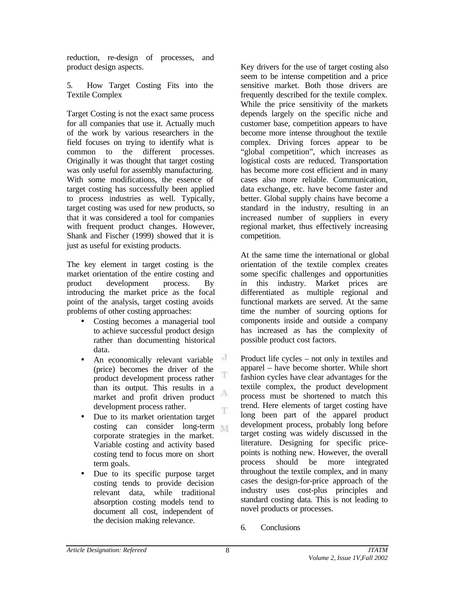reduction, re-design of processes, and product design aspects.

5. How Target Costing Fits into the Textile Complex

Target Costing is not the exact same process for all companies that use it. Actually much of the work by various researchers in the field focuses on trying to identify what is common to the different processes. Originally it was thought that target costing was only useful for assembly manufacturing. With some modifications, the essence of target costing has successfully been applied to process industries as well. Typically, target costing was used for new products, so that it was considered a tool for companies with frequent product changes. However, Shank and Fischer (1999) showed that it is just as useful for existing products.

The key element in target costing is the market orientation of the entire costing and product development process. By introducing the market price as the focal point of the analysis, target costing avoids problems of other costing approaches:

- Costing becomes a managerial tool to achieve successful product design rather than documenting historical data.
- J An economically relevant variable (price) becomes the driver of the T product development process rather than its output. This results in a А market and profit driven product development process rather. T
- Due to its market orientation target costing can consider long-term corporate strategies in the market. Variable costing and activity based costing tend to focus more on short term goals.
- Due to its specific purpose target costing tends to provide decision relevant data, while traditional absorption costing models tend to document all cost, independent of the decision making relevance.

Key drivers for the use of target costing also seem to be intense competition and a price sensitive market. Both those drivers are frequently described for the textile complex. While the price sensitivity of the markets depends largely on the specific niche and customer base, competition appears to have become more intense throughout the textile complex. Driving forces appear to be "global competition", which increases as logistical costs are reduced. Transportation has become more cost efficient and in many cases also more reliable. Communication, data exchange, etc. have become faster and better. Global supply chains have become a standard in the industry, resulting in an increased number of suppliers in every regional market, thus effectively increasing competition.

At the same time the international or global orientation of the textile complex creates some specific challenges and opportunities in this industry. Market prices are differentiated as multiple regional and functional markets are served. At the same time the number of sourcing options for components inside and outside a company has increased as has the complexity of possible product cost factors.

Product life cycles – not only in textiles and apparel – have become shorter. While short fashion cycles have clear advantages for the textile complex, the product development process must be shortened to match this trend. Here elements of target costing have long been part of the apparel product development process, probably long before target costing was widely discussed in the literature. Designing for specific pricepoints is nothing new. However, the overall process should be more integrated throughout the textile complex, and in many cases the design-for-price approach of the industry uses cost-plus principles and standard costing data. This is not leading to novel products or processes.

6. Conclusions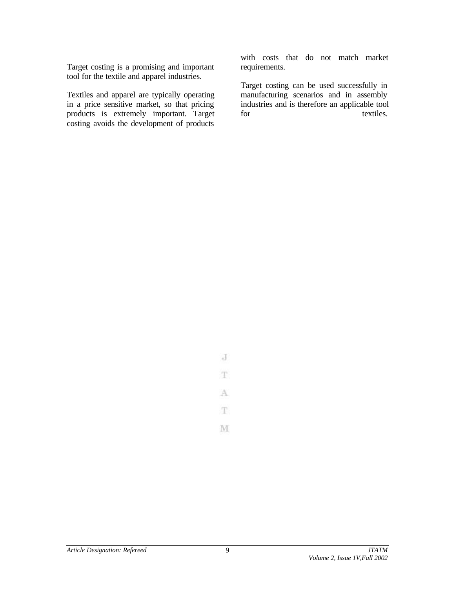Target costing is a promising and important tool for the textile and apparel industries.

Textiles and apparel are typically operating in a price sensitive market, so that pricing products is extremely important. Target costing avoids the development of products

with costs that do not match market requirements.

Target costing can be used successfully in manufacturing scenarios and in assembly industries and is therefore an applicable tool for textiles.

J T. A T.

M